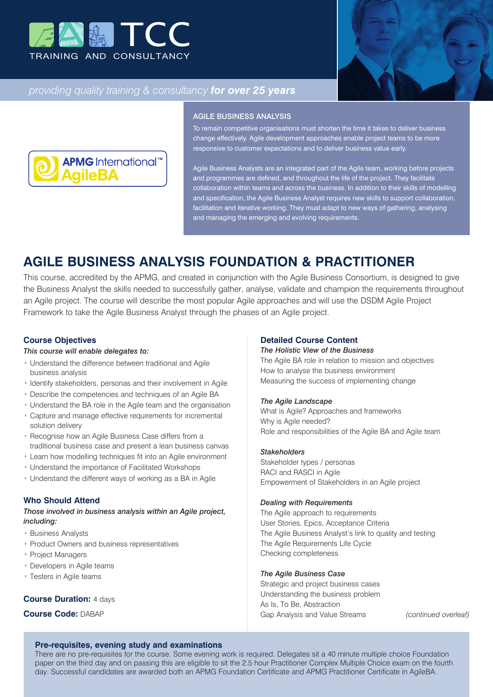



# *providing quality training & consultancy for over 25 years*



#### AGILE BUSINESS ANALYSIS

To remain competitive organisations must shorten the time it takes to deliver business change effectively. Agile development approaches enable project teams to be more responsive to customer expectations and to deliver business value early.

Agile Business Analysts are an integrated part of the Agile team, working before projects and programmes are defined, and throughout the life of the project. They facilitate collaboration within teams and across the business. In addition to their skills of modelling and specification, the Agile Business Analyst requires new skills to support collaboration, facilitation and iterative working. They must adapt to new ways of gathering, analysing and managing the emerging and evolving requirements.

# **AGILE BUSINESS ANALYSIS FOUNDATION & PRACTITIONER**

This course, accredited by the APMG, and created in conjunction with the Agile Business Consortium, is designed to give the Business Analyst the skills needed to successfully gather, analyse, validate and champion the requirements throughout an Agile project. The course will describe the most popular Agile approaches and will use the DSDM Agile Project Framework to take the Agile Business Analyst through the phases of an Agile project.

#### **Course Objectives**

#### *This course will enable delegates to:*

- Understand the difference between traditional and Agile business analysis
- Identify stakeholders, personas and their involvement in Agile
- Describe the competencies and techniques of an Agile BA
- Understand the BA role in the Agile team and the organisation
- Capture and manage effective requirements for incremental solution delivery
- Recognise how an Agile Business Case differs from a traditional business case and present a lean business canvas
- Learn how modelling techniques fit into an Agile environment
- Understand the importance of Facilitated Workshops
- Understand the different ways of working as a BA in Agile

### **Who Should Attend**

*Those involved in business analysis within an Agile project, including:*

- Business Analysts
- Product Owners and business representatives
- Project Managers
- Developers in Agile teams
- Testers in Agile teams

#### **Course Duration: 4 days**

**Course Code:** DABAP

#### **Detailed Course Content**

#### *The Holistic View of the Business*

The Agile BA role in relation to mission and objectives How to analyse the business environment Measuring the success of implementing change

#### *The Agile Landscape*

What is Agile? Approaches and frameworks Why is Agile needed? Role and responsibilities of the Agile BA and Agile team

#### *Stakeholders*

Stakeholder types / personas RACI and RASCI in Agile Empowerment of Stakeholders in an Agile project

#### *Dealing with Requirements*

The Agile approach to requirements User Stories, Epics, Acceptance Criteria The Agile Business Analyst's link to quality and testing The Agile Requirements Life Cycle Checking completeness

#### *The Agile Business Case*

Strategic and project business cases Understanding the business problem As Is, To Be, Abstraction Gap Analysis and Value Streams *(continued overleaf)*

#### **Pre-requisites, evening study and examinations**

There are no pre-requisites for the course. Some evening work is required. Delegates sit a 40 minute multiple choice Foundation paper on the third day and on passing this are eligible to sit the 2.5 hour Practitioner Complex Multiple Choice exam on the fourth day. Successful candidates are awarded both an APMG Foundation Certificate and APMG Practitioner Certificate in AgileBA.